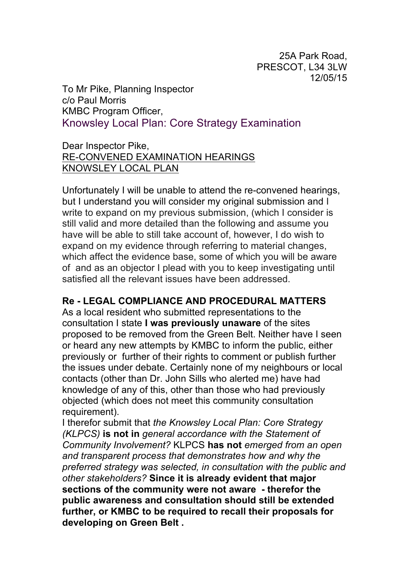25A Park Road, PRESCOT, L34 3LW 12/05/15

To Mr Pike, Planning Inspector c/o Paul Morris KMBC Program Officer, Knowsley Local Plan: Core Strategy Examination

## Dear Inspector Pike, RE-CONVENED EXAMINATION HEARINGS KNOWSLEY LOCAL PLAN

Unfortunately I will be unable to attend the re-convened hearings, but I understand you will consider my original submission and I write to expand on my previous submission, (which I consider is still valid and more detailed than the following and assume you have will be able to still take account of, however, I do wish to expand on my evidence through referring to material changes, which affect the evidence base, some of which you will be aware of and as an objector I plead with you to keep investigating until satisfied all the relevant issues have been addressed.

## **Re - LEGAL COMPLIANCE AND PROCEDURAL MATTERS**

As a local resident who submitted representations to the consultation I state **I was previously unaware** of the sites proposed to be removed from the Green Belt. Neither have I seen or heard any new attempts by KMBC to inform the public, either previously or further of their rights to comment or publish further the issues under debate. Certainly none of my neighbours or local contacts (other than Dr. John Sills who alerted me) have had knowledge of any of this, other than those who had previously objected (which does not meet this community consultation requirement).

I therefor submit that *the Knowsley Local Plan: Core Strategy (KLPCS)* **is not in** *general accordance with the Statement of Community Involvement?* KLPCS **has not** *emerged from an open and transparent process that demonstrates how and why the preferred strategy was selected, in consultation with the public and other stakeholders?* **Since it is already evident that major sections of the community were not aware - therefor the public awareness and consultation should still be extended further, or KMBC to be required to recall their proposals for developing on Green Belt .**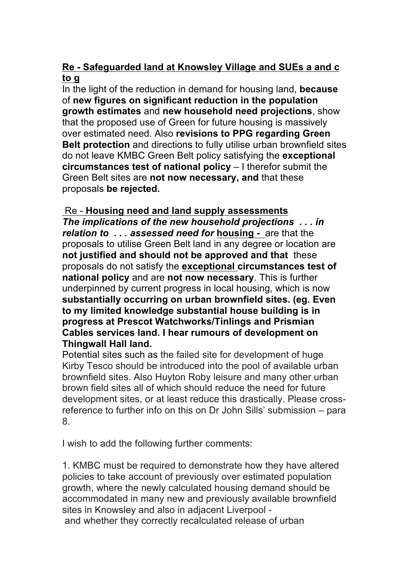## **Re - Safeguarded land at Knowsley Village and SUEs a and c to g**

In the light of the reduction in demand for housing land, **because**  of **new figures on significant reduction in the population growth estimates** and **new household need projections**, show that the proposed use of Green for future housing is massively over estimated need. Also **revisions to PPG regarding Green Belt protection** and directions to fully utilise urban brownfield sites do not leave KMBC Green Belt policy satisfying the **exceptional circumstances test of national policy** – I therefor submit the Green Belt sites are **not now necessary, and** that these proposals **be rejected.**

## Re - **Housing need and land supply assessments**

*The implications of the new household projections . . . in relation to . . . assessed need for* **housing -** are that the proposals to utilise Green Belt land in any degree or location are **not justified and should not be approved and that** these proposals do not satisfy the **exceptional circumstances test of national policy** and are **not now necessary**. This is further underpinned by current progress in local housing, which is now **substantially occurring on urban brownfield sites. (eg. Even to my limited knowledge substantial house building is in progress at Prescot Watchworks/Tinlings and Prismian Cables services land. I hear rumours of development on Thingwall Hall land.**

Potential sites such as the failed site for development of huge Kirby Tesco should be introduced into the pool of available urban brownfield sites. Also Huyton Roby leisure and many other urban brown field sites all of which should reduce the need for future development sites, or at least reduce this drastically. Please crossreference to further info on this on Dr John Sills' submission – para 8.

I wish to add the following further comments:

1. KMBC must be required to demonstrate how they have altered policies to take account of previously over estimated population growth, where the newly calculated housing demand should be accommodated in many new and previously available brownfield sites in Knowsley and also in adjacent Liverpool and whether they correctly recalculated release of urban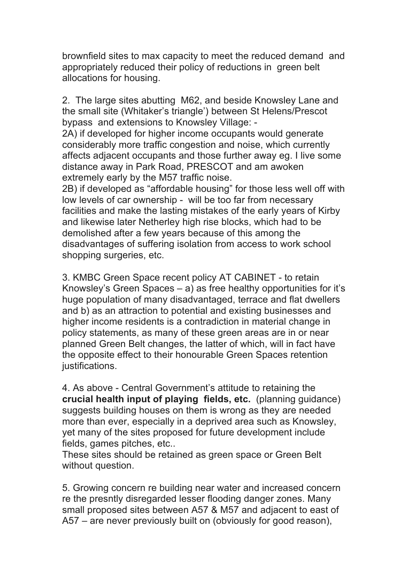brownfield sites to max capacity to meet the reduced demand and appropriately reduced their policy of reductions in green belt allocations for housing.

2. The large sites abutting M62, and beside Knowsley Lane and the small site (Whitaker's triangle') between St Helens/Prescot bypass and extensions to Knowsley Village: -

2A) if developed for higher income occupants would generate considerably more traffic congestion and noise, which currently affects adjacent occupants and those further away eg. I live some distance away in Park Road, PRESCOT and am awoken extremely early by the M57 traffic noise.

2B) if developed as "affordable housing" for those less well off with low levels of car ownership - will be too far from necessary facilities and make the lasting mistakes of the early years of Kirby and likewise later Netherley high rise blocks, which had to be demolished after a few years because of this among the disadvantages of suffering isolation from access to work school shopping surgeries, etc.

3. KMBC Green Space recent policy AT CABINET - to retain Knowsley's Green Spaces – a) as free healthy opportunities for it's huge population of many disadvantaged, terrace and flat dwellers and b) as an attraction to potential and existing businesses and higher income residents is a contradiction in material change in policy statements, as many of these green areas are in or near planned Green Belt changes, the latter of which, will in fact have the opposite effect to their honourable Green Spaces retention justifications.

4. As above - Central Government's attitude to retaining the **crucial health input of playing fields, etc.** (planning guidance) suggests building houses on them is wrong as they are needed more than ever, especially in a deprived area such as Knowsley, yet many of the sites proposed for future development include fields, games pitches, etc..

These sites should be retained as green space or Green Belt without question.

5. Growing concern re building near water and increased concern re the presntly disregarded lesser flooding danger zones. Many small proposed sites between A57 & M57 and adjacent to east of A57 – are never previously built on (obviously for good reason),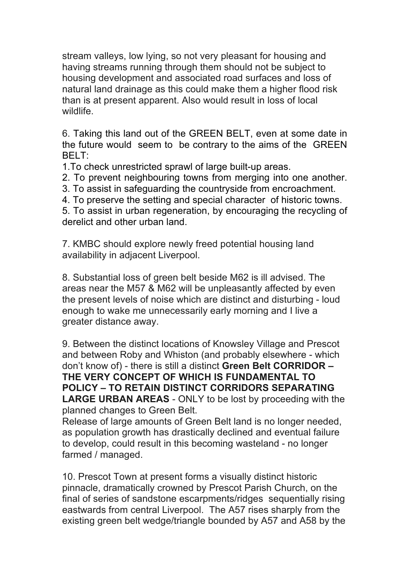stream valleys, low lying, so not very pleasant for housing and having streams running through them should not be subject to housing development and associated road surfaces and loss of natural land drainage as this could make them a higher flood risk than is at present apparent. Also would result in loss of local wildlife.

6. Taking this land out of the GREEN BELT, even at some date in the future would seem to be contrary to the aims of the GREEN BELT:

1.To check unrestricted sprawl of large built-up areas.

2. To prevent neighbouring towns from merging into one another.

3. To assist in safeguarding the countryside from encroachment.

4. To preserve the setting and special character of historic towns.

5. To assist in urban regeneration, by encouraging the recycling of derelict and other urban land.

7. KMBC should explore newly freed potential housing land availability in adjacent Liverpool.

8. Substantial loss of green belt beside M62 is ill advised. The areas near the M57 & M62 will be unpleasantly affected by even the present levels of noise which are distinct and disturbing - loud enough to wake me unnecessarily early morning and I live a greater distance away.

9. Between the distinct locations of Knowsley Village and Prescot and between Roby and Whiston (and probably elsewhere - which don't know of) - there is still a distinct **Green Belt CORRIDOR – THE VERY CONCEPT OF WHICH IS FUNDAMENTAL TO POLICY – TO RETAIN DISTINCT CORRIDORS SEPARATING LARGE URBAN AREAS** - ONLY to be lost by proceeding with the planned changes to Green Belt.

Release of large amounts of Green Belt land is no longer needed, as population growth has drastically declined and eventual failure to develop, could result in this becoming wasteland - no longer farmed / managed.

10. Prescot Town at present forms a visually distinct historic pinnacle, dramatically crowned by Prescot Parish Church, on the final of series of sandstone escarpments/ridges sequentially rising eastwards from central Liverpool. The A57 rises sharply from the existing green belt wedge/triangle bounded by A57 and A58 by the